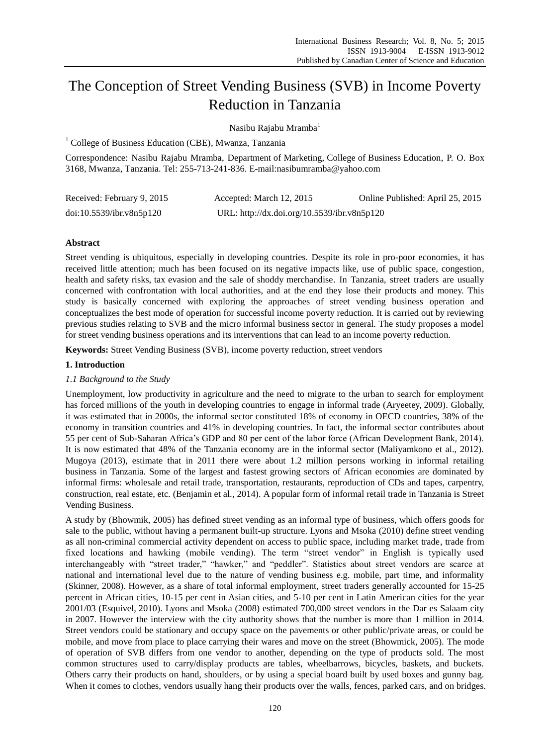# The Conception of Street Vending Business (SVB) in Income Poverty Reduction in Tanzania

Nasibu Rajabu Mramba<sup>1</sup>

 $1$  College of Business Education (CBE), Mwanza, Tanzania

Correspondence: Nasibu Rajabu Mramba, Department of Marketing, College of Business Education, P. O. Box 3168, Mwanza, Tanzania. Tel: 255-713-241-836. E-mail:nasibumramba@yahoo.com

| Received: February 9, 2015 | Accepted: March 12, 2015                    | Online Published: April 25, 2015 |
|----------------------------|---------------------------------------------|----------------------------------|
| doi:10.5539/ibr.v8n5p120   | URL: http://dx.doi.org/10.5539/ibr.v8n5p120 |                                  |

# **Abstract**

Street vending is ubiquitous, especially in developing countries. Despite its role in pro-poor economies, it has received little attention; much has been focused on its negative impacts like, use of public space, congestion, health and safety risks, tax evasion and the sale of shoddy merchandise. In Tanzania, street traders are usually concerned with confrontation with local authorities, and at the end they lose their products and money. This study is basically concerned with exploring the approaches of street vending business operation and conceptualizes the best mode of operation for successful income poverty reduction. It is carried out by reviewing previous studies relating to SVB and the micro informal business sector in general. The study proposes a model for street vending business operations and its interventions that can lead to an income poverty reduction.

**Keywords:** Street Vending Business (SVB), income poverty reduction, street vendors

## **1. Introduction**

# *1.1 Background to the Study*

Unemployment, low productivity in agriculture and the need to migrate to the urban to search for employment has forced millions of the youth in developing countries to engage in informal trade (Aryeetey, 2009). Globally, it was estimated that in 2000s, the informal sector constituted 18% of economy in OECD countries, 38% of the economy in transition countries and 41% in developing countries. In fact, the informal sector contributes about 55 per cent of Sub-Saharan Africa"s GDP and 80 per cent of the labor force (African Development Bank, 2014). It is now estimated that 48% of the Tanzania economy are in the informal sector (Maliyamkono et al., 2012). Mugoya (2013), estimate that in 2011 there were about 1.2 million persons working in informal retailing business in Tanzania. Some of the largest and fastest growing sectors of African economies are dominated by informal firms: wholesale and retail trade, transportation, restaurants, reproduction of CDs and tapes, carpentry, construction, real estate, etc. (Benjamin et al., 2014). A popular form of informal retail trade in Tanzania is Street Vending Business.

A study by (Bhowmik, 2005) has defined street vending as an informal type of business, which offers goods for sale to the public, without having a permanent built-up structure. Lyons and Msoka (2010) define street vending as all non-criminal commercial activity dependent on access to public space, including market trade, trade from fixed locations and hawking (mobile vending). The term "street vendor" in English is typically used interchangeably with "street trader," "hawker," and "peddler". Statistics about street vendors are scarce at national and international level due to the nature of vending business e.g. mobile, part time, and informality (Skinner, 2008). However, as a share of total informal employment, street traders generally accounted for 15-25 percent in African cities, 10-15 per cent in Asian cities, and 5-10 per cent in Latin American cities for the year 2001/03 (Esquivel, 2010). Lyons and Msoka (2008) estimated 700,000 street vendors in the Dar es Salaam city in 2007. However the interview with the city authority shows that the number is more than 1 million in 2014. Street vendors could be stationary and occupy space on the pavements or other public/private areas, or could be mobile, and move from place to place carrying their wares and move on the street (Bhowmick, 2005). The mode of operation of SVB differs from one vendor to another, depending on the type of products sold. The most common structures used to carry/display products are tables, wheelbarrows, bicycles, baskets, and buckets. Others carry their products on hand, shoulders, or by using a special board built by used boxes and gunny bag. When it comes to clothes, vendors usually hang their products over the walls, fences, parked cars, and on bridges.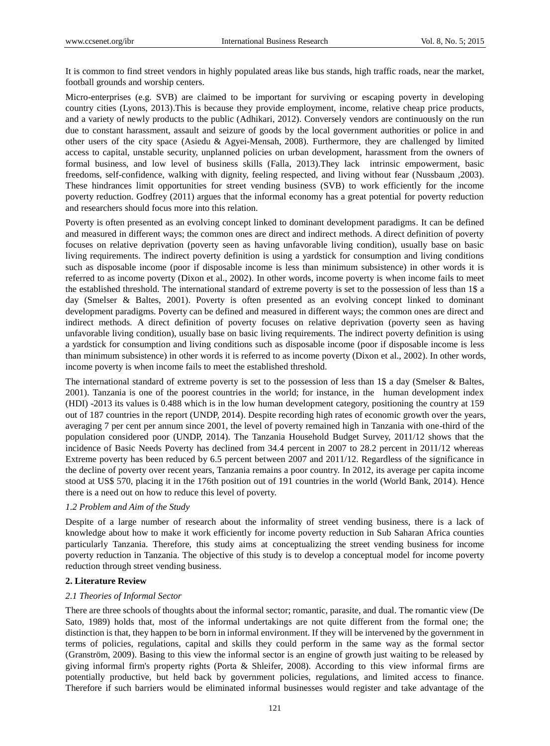It is common to find street vendors in highly populated areas like bus stands, high traffic roads, near the market, football grounds and worship centers.

Micro-enterprises (e.g. SVB) are claimed to be important for surviving or escaping poverty in developing country cities (Lyons, 2013).This is because they provide employment, income, relative cheap price products, and a variety of newly products to the public (Adhikari, 2012). Conversely vendors are continuously on the run due to constant harassment, assault and seizure of goods by the local government authorities or police in and other users of the city space (Asiedu & Agyei-Mensah, 2008). Furthermore, they are challenged by limited access to capital, unstable security, unplanned policies on urban development, harassment from the owners of formal business, and low level of business skills (Falla, 2013).They lack intrinsic empowerment, basic freedoms, self-confidence, walking with dignity, feeling respected, and living without fear (Nussbaum ,2003). These hindrances limit opportunities for street vending business (SVB) to work efficiently for the income poverty reduction. Godfrey (2011) argues that the informal economy has a great potential for poverty reduction and researchers should focus more into this relation.

Poverty is often presented as an evolving concept linked to dominant development paradigms. It can be defined and measured in different ways; the common ones are direct and indirect methods. A direct definition of poverty focuses on relative deprivation (poverty seen as having unfavorable living condition), usually base on basic living requirements. The indirect poverty definition is using a yardstick for consumption and living conditions such as disposable income (poor if disposable income is less than minimum subsistence) in other words it is referred to as income poverty (Dixon et al., 2002). In other words, income poverty is when income fails to meet the established threshold. The international standard of extreme poverty is set to the possession of less than 1\$ a day (Smelser & Baltes, 2001). Poverty is often presented as an evolving concept linked to dominant development paradigms. Poverty can be defined and measured in different ways; the common ones are direct and indirect methods. A direct definition of poverty focuses on relative deprivation (poverty seen as having unfavorable living condition), usually base on basic living requirements. The indirect poverty definition is using a yardstick for consumption and living conditions such as disposable income (poor if disposable income is less than minimum subsistence) in other words it is referred to as income poverty (Dixon et al., 2002). In other words, income poverty is when income fails to meet the established threshold.

The international standard of extreme poverty is set to the possession of less than 1\$ a day (Smelser & Baltes, 2001). Tanzania is one of the poorest countries in the world; for instance, in the human development index (HDI) -2013 its values is 0.488 which is in the low human development category, positioning the country at 159 out of 187 countries in the report (UNDP, 2014). Despite recording high rates of economic growth over the years, averaging 7 per cent per annum since 2001, the level of poverty remained high in Tanzania with one-third of the population considered poor (UNDP, 2014). The Tanzania Household Budget Survey, 2011/12 shows that the incidence of Basic Needs Poverty has declined from 34.4 percent in 2007 to 28.2 percent in 2011/12 whereas Extreme poverty has been reduced by 6.5 percent between 2007 and 2011/12. Regardless of the significance in the decline of poverty over recent years, Tanzania remains a poor country. In 2012, its average per capita income stood at US\$ 570, placing it in the 176th position out of 191 countries in the world (World Bank, 2014). Hence there is a need out on how to reduce this level of poverty.

# *1.2 Problem and Aim of the Study*

Despite of a large number of research about the informality of street vending business, there is a lack of knowledge about how to make it work efficiently for income poverty reduction in Sub Saharan Africa counties particularly Tanzania. Therefore, this study aims at conceptualizing the street vending business for income poverty reduction in Tanzania. The objective of this study is to develop a conceptual model for income poverty reduction through street vending business.

# **2. Literature Review**

# *2.1 Theories of Informal Sector*

There are three schools of thoughts about the informal sector; romantic, parasite, and dual. The romantic view (De Sato, 1989) holds that, most of the informal undertakings are not quite different from the formal one; the distinction is that, they happen to be born in informal environment. If they will be intervened by the government in terms of policies, regulations, capital and skills they could perform in the same way as the formal sector (Granström, 2009). Basing to this view the informal sector is an engine of growth just waiting to be released by giving informal firm's property rights (Porta & Shleifer, 2008). According to this view informal firms are potentially productive, but held back by government policies, regulations, and limited access to finance. Therefore if such barriers would be eliminated informal businesses would register and take advantage of the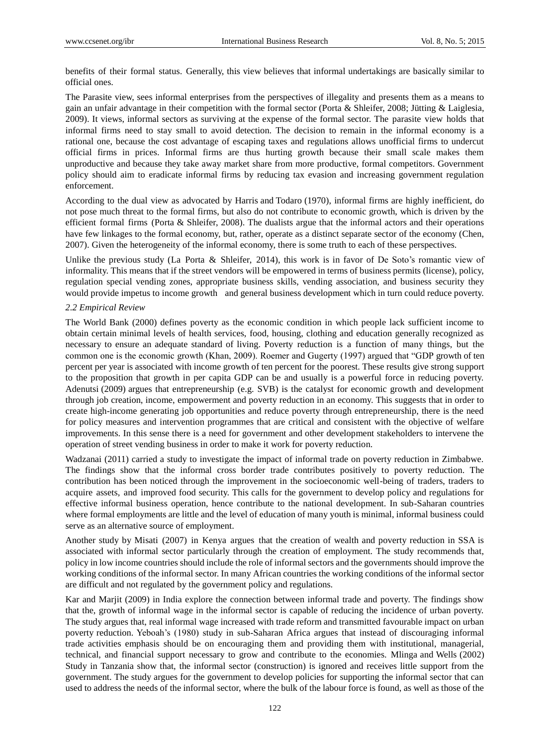benefits of their formal status. Generally, this view believes that informal undertakings are basically similar to official ones.

The Parasite view, sees informal enterprises from the perspectives of illegality and presents them as a means to gain an unfair advantage in their competition with the formal sector (Porta & Shleifer, 2008; Jütting & Laiglesia, 2009). It views, informal sectors as surviving at the expense of the formal sector. The parasite view holds that informal firms need to stay small to avoid detection. The decision to remain in the informal economy is a rational one, because the cost advantage of escaping taxes and regulations allows unofficial firms to undercut official firms in prices. Informal firms are thus hurting growth because their small scale makes them unproductive and because they take away market share from more productive, formal competitors. Government policy should aim to eradicate informal firms by reducing tax evasion and increasing government regulation enforcement.

According to the dual view as advocated by Harris and Todaro (1970), informal firms are highly inefficient, do not pose much threat to the formal firms, but also do not contribute to economic growth, which is driven by the efficient formal firms (Porta & Shleifer, 2008). The dualists argue that the informal actors and their operations have few linkages to the formal economy, but, rather, operate as a distinct separate sector of the economy (Chen, 2007). Given the heterogeneity of the informal economy, there is some truth to each of these perspectives.

Unlike the previous study (La Porta & Shleifer, 2014), this work is in favor of De Soto's romantic view of informality. This means that if the street vendors will be empowered in terms of business permits (license), policy, regulation special vending zones, appropriate business skills, vending association, and business security they would provide impetus to income growth and general business development which in turn could reduce poverty.

#### *2.2 Empirical Review*

The World Bank (2000) defines poverty as the economic condition in which people lack sufficient income to obtain certain minimal levels of health services, food, housing, clothing and education generally recognized as necessary to ensure an adequate standard of living. Poverty reduction is a function of many things, but the common one is the economic growth (Khan, 2009). Roemer and Gugerty (1997) argued that "GDP growth of ten percent per year is associated with income growth of ten percent for the poorest. These results give strong support to the proposition that growth in per capita GDP can be and usually is a powerful force in reducing poverty. Adenutsi (2009) argues that entrepreneurship (e.g. SVB) is the catalyst for economic growth and development through job creation, income, empowerment and poverty reduction in an economy. This suggests that in order to create high-income generating job opportunities and reduce poverty through entrepreneurship, there is the need for policy measures and intervention programmes that are critical and consistent with the objective of welfare improvements. In this sense there is a need for government and other development stakeholders to intervene the operation of street vending business in order to make it work for poverty reduction.

Wadzanai (2011) carried a study to investigate the impact of informal trade on poverty reduction in Zimbabwe. The findings show that the informal cross border trade contributes positively to poverty reduction. The contribution has been noticed through the improvement in the socioeconomic well-being of traders, traders to acquire assets, and improved food security. This calls for the government to develop policy and regulations for effective informal business operation, hence contribute to the national development. In sub-Saharan countries where formal employments are little and the level of education of many youth is minimal, informal business could serve as an alternative source of employment.

Another study by Misati (2007) in Kenya argues that the creation of wealth and poverty reduction in SSA is associated with informal sector particularly through the creation of employment. The study recommends that, policy in low income countries should include the role of informal sectors and the governments should improve the working conditions of the informal sector. In many African countries the working conditions of the informal sector are difficult and not regulated by the government policy and regulations.

Kar and Marjit (2009) in India explore the connection between informal trade and poverty. The findings show that the, growth of informal wage in the informal sector is capable of reducing the incidence of urban poverty. The study argues that, real informal wage increased with trade reform and transmitted favourable impact on urban poverty reduction. Yeboah"s (1980) study in sub-Saharan Africa argues that instead of discouraging informal trade activities emphasis should be on encouraging them and providing them with institutional, managerial, technical, and financial support necessary to grow and contribute to the economies. Mlinga and Wells (2002) Study in Tanzania show that, the informal sector (construction) is ignored and receives little support from the government. The study argues for the government to develop policies for supporting the informal sector that can used to address the needs of the informal sector, where the bulk of the labour force is found, as well as those of the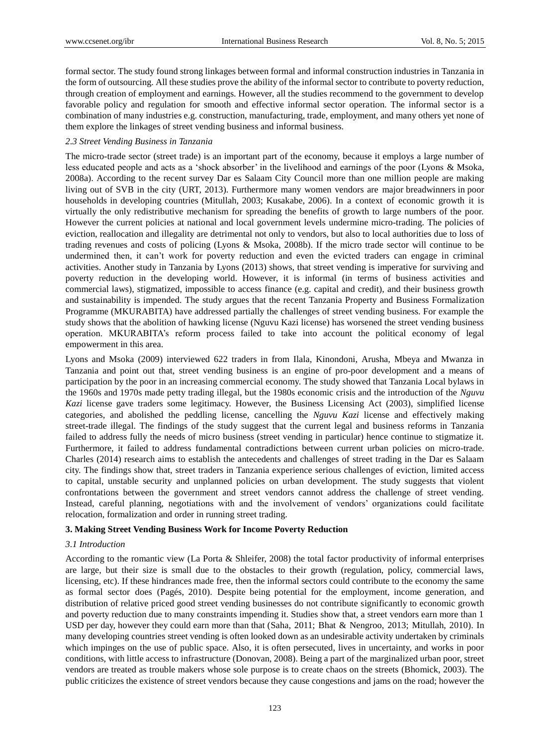formal sector. The study found strong linkages between formal and informal construction industries in Tanzania in the form of outsourcing. All these studies prove the ability of the informal sector to contribute to poverty reduction, through creation of employment and earnings. However, all the studies recommend to the government to develop favorable policy and regulation for smooth and effective informal sector operation. The informal sector is a combination of many industries e.g. construction, manufacturing, trade, employment, and many others yet none of them explore the linkages of street vending business and informal business.

# *2.3 Street Vending Business in Tanzania*

The micro-trade sector (street trade) is an important part of the economy, because it employs a large number of less educated people and acts as a "shock absorber" in the livelihood and earnings of the poor (Lyons & Msoka, 2008a). According to the recent survey Dar es Salaam City Council more than one million people are making living out of SVB in the city (URT, 2013). Furthermore many women vendors are major breadwinners in poor households in developing countries (Mitullah, 2003; Kusakabe, 2006). In a context of economic growth it is virtually the only redistributive mechanism for spreading the benefits of growth to large numbers of the poor. However the current policies at national and local government levels undermine micro-trading. The policies of eviction, reallocation and illegality are detrimental not only to vendors, but also to local authorities due to loss of trading revenues and costs of policing (Lyons & Msoka, 2008b). If the micro trade sector will continue to be undermined then, it can"t work for poverty reduction and even the evicted traders can engage in criminal activities. Another study in Tanzania by Lyons (2013) shows, that street vending is imperative for surviving and poverty reduction in the developing world. However, it is informal (in terms of business activities and commercial laws), stigmatized, impossible to access finance (e.g. capital and credit), and their business growth and sustainability is impended. The study argues that the recent Tanzania Property and Business Formalization Programme (MKURABITA) have addressed partially the challenges of street vending business. For example the study shows that the abolition of hawking license (Nguvu Kazi license) has worsened the street vending business operation. MKURABITA"s reform process failed to take into account the political economy of legal empowerment in this area.

Lyons and Msoka (2009) interviewed 622 traders in from Ilala, Kinondoni, Arusha, Mbeya and Mwanza in Tanzania and point out that, street vending business is an engine of pro-poor development and a means of participation by the poor in an increasing commercial economy. The study showed that Tanzania Local bylaws in the 1960s and 1970s made petty trading illegal, but the 1980s economic crisis and the introduction of the *Nguvu Kazi* license gave traders some legitimacy. However, the Business Licensing Act (2003), simplified license categories, and abolished the peddling license, cancelling the *Nguvu Kazi* license and effectively making street-trade illegal. The findings of the study suggest that the current legal and business reforms in Tanzania failed to address fully the needs of micro business (street vending in particular) hence continue to stigmatize it. Furthermore, it failed to address fundamental contradictions between current urban policies on micro-trade. Charles (2014) research aims to establish the antecedents and challenges of street trading in the Dar es Salaam city. The findings show that, street traders in Tanzania experience serious challenges of eviction, limited access to capital, unstable security and unplanned policies on urban development. The study suggests that violent confrontations between the government and street vendors cannot address the challenge of street vending. Instead, careful planning, negotiations with and the involvement of vendors" organizations could facilitate relocation, formalization and order in running street trading.

## **3. Making Street Vending Business Work for Income Poverty Reduction**

## *3.1 Introduction*

According to the romantic view (La Porta & Shleifer, 2008) the total factor productivity of informal enterprises are large, but their size is small due to the obstacles to their growth (regulation, policy, commercial laws, licensing, etc). If these hindrances made free, then the informal sectors could contribute to the economy the same as formal sector does (Pagés, 2010). Despite being potential for the employment, income generation, and distribution of relative priced good street vending businesses do not contribute significantly to economic growth and poverty reduction due to many constraints impending it. Studies show that, a street vendors earn more than 1 USD per day, however they could earn more than that (Saha, 2011; Bhat & Nengroo, 2013; Mitullah, 2010). In many developing countries street vending is often looked down as an undesirable activity undertaken by criminals which impinges on the use of public space. Also, it is often persecuted, lives in uncertainty, and works in poor conditions, with little access to infrastructure (Donovan, 2008). Being a part of the marginalized urban poor, street vendors are treated as trouble makers whose sole purpose is to create chaos on the streets (Bhomick, 2003). The public criticizes the existence of street vendors because they cause congestions and jams on the road; however the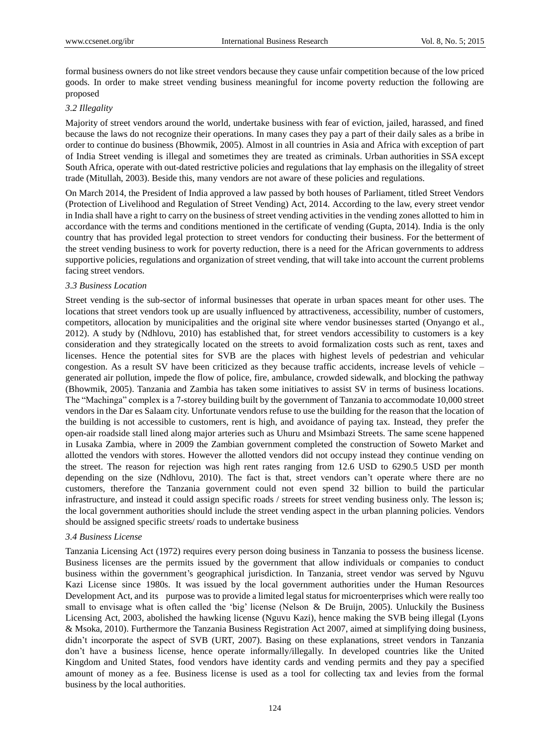formal business owners do not like street vendors because they cause unfair competition because of the low priced goods. In order to make street vending business meaningful for income poverty reduction the following are proposed

# *3.2 Illegality*

Majority of street vendors around the world, undertake business with fear of eviction, jailed, harassed, and fined because the laws do not recognize their operations. In many cases they pay a part of their daily sales as a bribe in order to continue do business (Bhowmik, 2005). Almost in all countries in Asia and Africa with exception of part of India Street vending is illegal and sometimes they are treated as criminals. Urban authorities in SSA except South Africa, operate with out-dated restrictive policies and regulations that lay emphasis on the illegality of street trade (Mitullah, 2003). Beside this, many vendors are not aware of these policies and regulations.

On March 2014, the President of India approved a law passed by both houses of Parliament, titled Street Vendors (Protection of Livelihood and Regulation of Street Vending) Act, 2014. According to the law, every street vendor in India shall have a right to carry on the business of street vending activities in the vending zones allotted to him in accordance with the terms and conditions mentioned in the certificate of vending (Gupta, 2014). India is the only country that has provided legal protection to street vendors for conducting their business. For the betterment of the street vending business to work for poverty reduction, there is a need for the African governments to address supportive policies, regulations and organization of street vending, that will take into account the current problems facing street vendors.

# *3.3 Business Location*

Street vending is the sub-sector of informal businesses that operate in urban spaces meant for other uses. The locations that street vendors took up are usually influenced by attractiveness, accessibility, number of customers, competitors, allocation by municipalities and the original site where vendor businesses started (Onyango et al., 2012). A study by (Ndhlovu, 2010) has established that, for street vendors accessibility to customers is a key consideration and they strategically located on the streets to avoid formalization costs such as rent, taxes and licenses. Hence the potential sites for SVB are the places with highest levels of pedestrian and vehicular congestion. As a result SV have been criticized as they because traffic accidents, increase levels of vehicle – generated air pollution, impede the flow of police, fire, ambulance, crowded sidewalk, and blocking the pathway (Bhowmik, 2005). Tanzania and Zambia has taken some initiatives to assist SV in terms of business locations. The "Machinga" complex is a 7-storey building built by the government of Tanzania to accommodate 10,000 street vendors in the Dar es Salaam city. Unfortunate vendors refuse to use the building for the reason that the location of the building is not accessible to customers, rent is high, and avoidance of paying tax. Instead, they prefer the open-air roadside stall lined along major arteries such as Uhuru and Msimbazi Streets. The same scene happened in Lusaka Zambia, where in 2009 the Zambian government completed the construction of Soweto Market and allotted the vendors with stores. However the allotted vendors did not occupy instead they continue vending on the street. The reason for rejection was high rent rates ranging from 12.6 USD to 6290.5 USD per month depending on the size (Ndhlovu, 2010). The fact is that, street vendors can"t operate where there are no customers, therefore the Tanzania government could not even spend 32 billion to build the particular infrastructure, and instead it could assign specific roads / streets for street vending business only. The lesson is; the local government authorities should include the street vending aspect in the urban planning policies. Vendors should be assigned specific streets/ roads to undertake business

# *3.4 Business License*

Tanzania Licensing Act (1972) requires every person doing business in Tanzania to possess the business license. Business licenses are the permits issued by the government that allow individuals or companies to conduct business within the government"s geographical jurisdiction. In Tanzania, street vendor was served by Nguvu Kazi License since 1980s. It was issued by the local government authorities under the Human Resources Development Act, and its purpose was to provide a limited legal status for microenterprises which were really too small to envisage what is often called the 'big' license (Nelson & De Bruijn, 2005). Unluckily the Business Licensing Act, 2003, abolished the hawking license (Nguvu Kazi), hence making the SVB being illegal (Lyons & Msoka, 2010). Furthermore the Tanzania Business Registration Act 2007, aimed at simplifying doing business, didn't incorporate the aspect of SVB (URT, 2007). Basing on these explanations, street vendors in Tanzania don"t have a business license, hence operate informally/illegally. In developed countries like the United Kingdom and United States, food vendors have identity cards and vending permits and they pay a specified amount of money as a fee. Business license is used as a tool for collecting tax and levies from the formal business by the local authorities.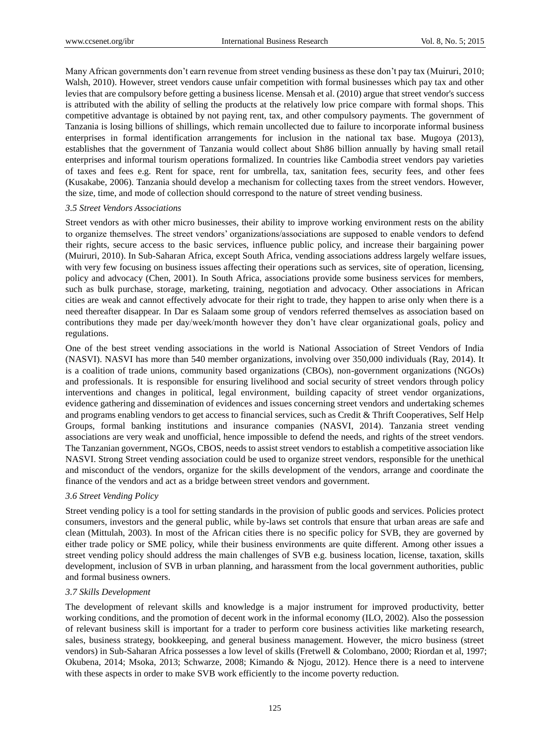Many African governments don"t earn revenue from street vending business as these don"t pay tax (Muiruri, 2010; Walsh, 2010). However, street vendors cause unfair competition with formal businesses which pay tax and other levies that are compulsory before getting a business license. Mensah et al. (2010) argue that street vendor's success is attributed with the ability of selling the products at the relatively low price compare with formal shops. This competitive advantage is obtained by not paying rent, tax, and other compulsory payments. The government of Tanzania is losing billions of shillings, which remain uncollected due to failure to incorporate informal business enterprises in formal identification arrangements for inclusion in the national tax base. Mugoya (2013), establishes that the government of Tanzania would collect about Sh86 billion annually by having small retail enterprises and informal tourism operations formalized. In countries like Cambodia street vendors pay varieties of taxes and fees e.g. Rent for space, rent for umbrella, tax, sanitation fees, security fees, and other fees (Kusakabe, 2006). Tanzania should develop a mechanism for collecting taxes from the street vendors. However, the size, time, and mode of collection should correspond to the nature of street vending business.

#### *3.5 Street Vendors Associations*

Street vendors as with other micro businesses, their ability to improve working environment rests on the ability to organize themselves. The street vendors" organizations/associations are supposed to enable vendors to defend their rights, secure access to the basic services, influence public policy, and increase their bargaining power (Muiruri, 2010). In Sub-Saharan Africa, except South Africa, vending associations address largely welfare issues, with very few focusing on business issues affecting their operations such as services, site of operation, licensing, policy and advocacy (Chen, 2001). In South Africa, associations provide some business services for members, such as bulk purchase, storage, marketing, training, negotiation and advocacy. Other associations in African cities are weak and cannot effectively advocate for their right to trade, they happen to arise only when there is a need thereafter disappear. In Dar es Salaam some group of vendors referred themselves as association based on contributions they made per day/week/month however they don"t have clear organizational goals, policy and regulations.

One of the best street vending associations in the world is National Association of Street Vendors of India (NASVI). NASVI has more than 540 member organizations, involving over 350,000 individuals (Ray, 2014). It is a coalition of trade unions, community based organizations (CBOs), non-government organizations (NGOs) and professionals. It is responsible for ensuring livelihood and social security of street vendors through policy interventions and changes in political, legal environment, building capacity of street vendor organizations, evidence gathering and dissemination of evidences and issues concerning street vendors and undertaking schemes and programs enabling vendors to get access to financial services, such as Credit & Thrift Cooperatives, Self Help Groups, formal banking institutions and insurance companies (NASVI, 2014). Tanzania street vending associations are very weak and unofficial, hence impossible to defend the needs, and rights of the street vendors. The Tanzanian government, NGOs, CBOS, needs to assist street vendors to establish a competitive association like NASVI. Strong Street vending association could be used to organize street vendors, responsible for the unethical and misconduct of the vendors, organize for the skills development of the vendors, arrange and coordinate the finance of the vendors and act as a bridge between street vendors and government.

## *3.6 Street Vending Policy*

Street vending policy is a tool for setting standards in the provision of public goods and services. Policies protect consumers, investors and the general public, while by-laws set controls that ensure that urban areas are safe and clean (Mittulah, 2003). In most of the African cities there is no specific policy for SVB, they are governed by either trade policy or SME policy, while their business environments are quite different. Among other issues a street vending policy should address the main challenges of SVB e.g. business location, license, taxation, skills development, inclusion of SVB in urban planning, and harassment from the local government authorities, public and formal business owners.

## *3.7 Skills Development*

The development of relevant skills and knowledge is a major instrument for improved productivity, better working conditions, and the promotion of decent work in the informal economy (ILO, 2002). Also the possession of relevant business skill is important for a trader to perform core business activities like marketing research, sales, business strategy, bookkeeping, and general business management. However, the micro business (street vendors) in Sub-Saharan Africa possesses a low level of skills (Fretwell & Colombano, 2000; Riordan et al, 1997; Okubena, 2014; Msoka, 2013; Schwarze, 2008; Kimando & Njogu, 2012). Hence there is a need to intervene with these aspects in order to make SVB work efficiently to the income poverty reduction.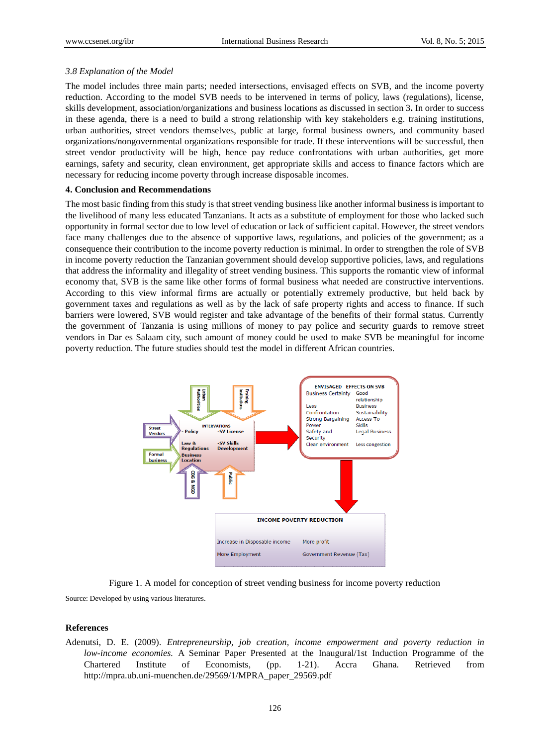## *3.8 Explanation of the Model*

The model includes three main parts; needed intersections, envisaged effects on SVB, and the income poverty reduction. According to the model SVB needs to be intervened in terms of policy, laws (regulations), license, skills development, association/organizations and business locations as discussed in section 3**.** In order to success in these agenda, there is a need to build a strong relationship with key stakeholders e.g. training institutions, urban authorities, street vendors themselves, public at large, formal business owners, and community based organizations/nongovernmental organizations responsible for trade. If these interventions will be successful, then street vendor productivity will be high, hence pay reduce confrontations with urban authorities, get more earnings, safety and security, clean environment, get appropriate skills and access to finance factors which are necessary for reducing income poverty through increase disposable incomes.

# **4. Conclusion and Recommendations**

The most basic finding from this study is that street vending business like another informal business is important to the livelihood of many less educated Tanzanians. It acts as a substitute of employment for those who lacked such opportunity in formal sector due to low level of education or lack of sufficient capital. However, the street vendors face many challenges due to the absence of supportive laws, regulations, and policies of the government; as a consequence their contribution to the income poverty reduction is minimal. In order to strengthen the role of SVB in income poverty reduction the Tanzanian government should develop supportive policies, laws, and regulations that address the informality and illegality of street vending business. This supports the romantic view of informal economy that, SVB is the same like other forms of formal business what needed are constructive interventions. According to this view informal firms are actually or potentially extremely productive, but held back by government taxes and regulations as well as by the lack of safe property rights and access to finance. If such barriers were lowered, SVB would register and take advantage of the benefits of their formal status. Currently the government of Tanzania is using millions of money to pay police and security guards to remove street vendors in Dar es Salaam city, such amount of money could be used to make SVB be meaningful for income poverty reduction. The future studies should test the model in different African countries.



Figure 1. A model for conception of street vending business for income poverty reduction

Source: Developed by using various literatures.

## **References**

Adenutsi, D. E. (2009). *Entrepreneurship, job creation, income empowerment and poverty reduction in low-income economies.* A Seminar Paper Presented at the Inaugural/1st Induction Programme of the Chartered Institute of Economists, (pp. 1-21). Accra Ghana. Retrieved from http://mpra.ub.uni-muenchen.de/29569/1/MPRA\_paper\_29569.pdf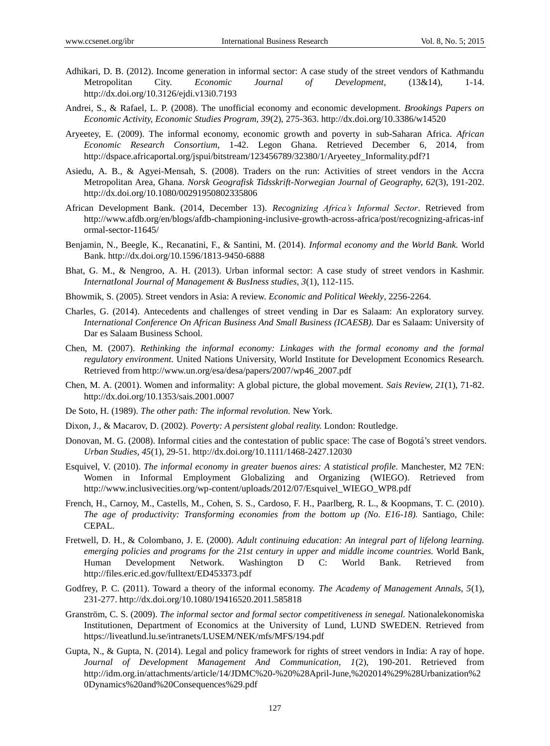- Adhikari, D. B. (2012). Income generation in informal sector: A case study of the street vendors of Kathmandu Metropolitan City. *Economic Journal of Development,* (13&14), 1-14. http://dx.doi.org/10.3126/ejdi.v13i0.7193
- Andrei, S., & Rafael, L. P. (2008). The unofficial economy and economic development. *Brookings Papers on Economic Activity, Economic Studies Program, 39*(2), 275-363. http://dx.doi.org/10.3386/w14520
- Aryeetey, E. (2009). The informal economy, economic growth and poverty in sub-Saharan Africa. *African Economic Research Consortium*, 1-42. Legon Ghana. Retrieved December 6, 2014, from http://dspace.africaportal.org/jspui/bitstream/123456789/32380/1/Aryeetey\_Informality.pdf?1
- Asiedu, A. B., & Agyei-Mensah, S. (2008). Traders on the run: Activities of street vendors in the Accra Metropolitan Area, Ghana. *Norsk Geografisk Tidsskrift-Norwegian Journal of Geography, 62*(3), 191-202. http://dx.doi.org/10.1080/00291950802335806
- African Development Bank. (2014, December 13). *Recognizing Africa's Informal Sector*. Retrieved from http://www.afdb.org/en/blogs/afdb-championing-inclusive-growth-across-africa/post/recognizing-africas-inf ormal-sector-11645/
- Benjamin, N., Beegle, K., Recanatini, F., & Santini, M. (2014). *Informal economy and the World Bank.* World Bank. http://dx.doi.org/10.1596/1813-9450-6888
- Bhat, G. M., & Nengroo, A. H. (2013). Urban informal sector: A case study of street vendors in Kashmir. *InternatIonal Journal of Management & BusIness studies, 3*(1), 112-115.
- Bhowmik, S. (2005). Street vendors in Asia: A review. *Economic and Political Weekly*, 2256-2264.
- Charles, G. (2014). Antecedents and challenges of street vending in Dar es Salaam: An exploratory survey. *International Conference On African Business And Small Business (ICAESB).* Dar es Salaam: University of Dar es Salaam Business School.
- Chen, M. (2007). *Rethinking the informal economy: Linkages with the formal economy and the formal regulatory environment.* United Nations University, World Institute for Development Economics Research. Retrieved from http://www.un.org/esa/desa/papers/2007/wp46\_2007.pdf
- Chen, M. A. (2001). Women and informality: A global picture, the global movement. *Sais Review, 21*(1), 71-82. http://dx.doi.org/10.1353/sais.2001.0007
- De Soto, H. (1989). *The other path: The informal revolution.* New York.
- Dixon, J., & Macarov, D. (2002). *Poverty: A persistent global reality.* London: Routledge.
- Donovan, M. G. (2008). Informal cities and the contestation of public space: The case of Bogot as street vendors. *Urban Studies, 45*(1), 29-51. http://dx.doi.org/10.1111/1468-2427.12030
- Esquivel, V. (2010). *The informal economy in greater buenos aires: A statistical profile.* Manchester, M2 7EN: Women in Informal Employment Globalizing and Organizing (WIEGO). Retrieved from http://www.inclusivecities.org/wp-content/uploads/2012/07/Esquivel\_WIEGO\_WP8.pdf
- French, H., Carnoy, M., Castells, M., Cohen, S. S., Cardoso, F. H., Paarlberg, R. L., & Koopmans, T. C. (2010). *The age of productivity: Transforming economies from the bottom up (No. E16-18).* Santiago, Chile: CEPAL.
- Fretwell, D. H., & Colombano, J. E. (2000). *Adult continuing education: An integral part of lifelong learning. emerging policies and programs for the 21st century in upper and middle income countries.* World Bank, Human Development Network. Washington D C: World Bank. Retrieved from http://files.eric.ed.gov/fulltext/ED453373.pdf
- Godfrey, P. C. (2011). Toward a theory of the informal economy. *The Academy of Management Annals, 5*(1), 231-277. http://dx.doi.org/10.1080/19416520.2011.585818
- Granström, C. S. (2009). *The informal sector and formal sector competitiveness in senegal.* Nationalekonomiska Institutionen, Department of Economics at the University of Lund, LUND SWEDEN. Retrieved from https://liveatlund.lu.se/intranets/LUSEM/NEK/mfs/MFS/194.pdf
- Gupta, N., & Gupta, N. (2014). Legal and policy framework for rights of street vendors in India: A ray of hope. *Journal of Development Management And Communication, 1*(2), 190-201. Retrieved from http://idm.org.in/attachments/article/14/JDMC%20-%20%28April-June,%202014%29%28Urbanization%2 0Dynamics%20and%20Consequences%29.pdf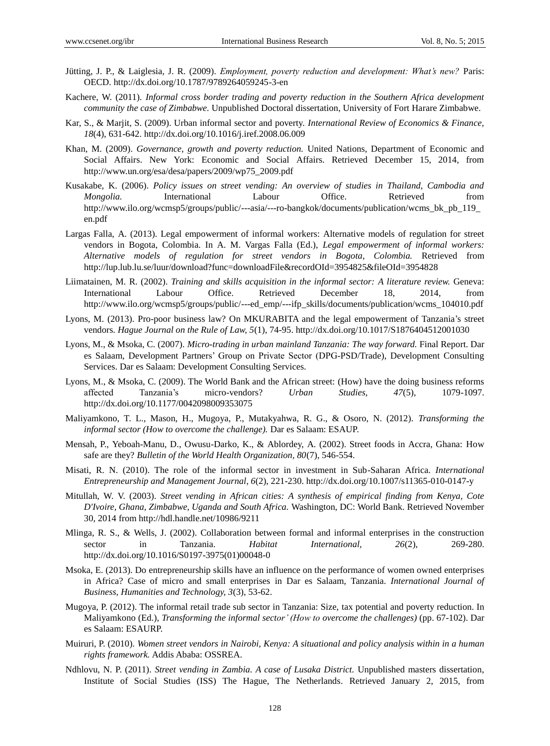- Jütting, J. P., & Laiglesia, J. R. (2009). *Employment, poverty reduction and development: What's new?* Paris: OECD. http://dx.doi.org/10.1787/9789264059245-3-en
- Kachere, W. (2011). *Informal cross border trading and poverty reduction in the Southern Africa development community the case of Zimbabwe.* Unpublished Doctoral dissertation, University of Fort Harare Zimbabwe.
- Kar, S., & Marjit, S. (2009). Urban informal sector and poverty. *International Review of Economics & Finance, 18*(4), 631-642. http://dx.doi.org/10.1016/j.iref.2008.06.009
- Khan, M. (2009). *Governance, growth and poverty reduction.* United Nations, Department of Economic and Social Affairs. New York: Economic and Social Affairs. Retrieved December 15, 2014, from http://www.un.org/esa/desa/papers/2009/wp75\_2009.pdf
- Kusakabe, K. (2006). *Policy issues on street vending: An overview of studies in Thailand, Cambodia and Mongolia.* International Labour Office. Retrieved from http://www.ilo.org/wcmsp5/groups/public/---asia/---ro-bangkok/documents/publication/wcms\_bk\_pb\_119\_ en.pdf
- Largas Falla, A. (2013). Legal empowerment of informal workers: Alternative models of regulation for street vendors in Bogota, Colombia. In A. M. Vargas Falla (Ed.), *Legal empowerment of informal workers: Alternative models of regulation for street vendors in Bogota, Colombia.* Retrieved from http://lup.lub.lu.se/luur/download?func=downloadFile&recordOId=3954825&fileOId=3954828
- Liimatainen, M. R. (2002). *Training and skills acquisition in the informal sector: A literature review.* Geneva: International Labour Office. Retrieved December 18, 2014, from http://www.ilo.org/wcmsp5/groups/public/---ed\_emp/---ifp\_skills/documents/publication/wcms\_104010.pdf
- Lyons, M. (2013). Pro-poor business law? On MKURABITA and the legal empowerment of Tanzania"s street vendors. *Hague Journal on the Rule of Law, 5*(1), 74-95. http://dx.doi.org/10.1017/S1876404512001030
- Lyons, M., & Msoka, C. (2007). *Micro-trading in urban mainland Tanzania: The way forward.* Final Report. Dar es Salaam, Development Partners" Group on Private Sector (DPG-PSD/Trade), Development Consulting Services. Dar es Salaam: Development Consulting Services.
- Lyons, M., & Msoka, C. (2009). The World Bank and the African street: (How) have the doing business reforms affected Tanzania"s micro-vendors? *Urban Studies, 47*(5), 1079-1097. http://dx.doi.org/10.1177/0042098009353075
- Maliyamkono, T. L., Mason, H., Mugoya, P., Mutakyahwa, R. G., & Osoro, N. (2012). *Transforming the informal sector (How to overcome the challenge).* Dar es Salaam: ESAUP.
- Mensah, P., Yeboah-Manu, D., Owusu-Darko, K., & Ablordey, A. (2002). Street foods in Accra, Ghana: How safe are they? *Bulletin of the World Health Organization, 80*(7), 546-554.
- Misati, R. N. (2010). The role of the informal sector in investment in Sub-Saharan Africa. *International Entrepreneurship and Management Journal, 6*(2), 221-230. http://dx.doi.org/10.1007/s11365-010-0147-y
- Mitullah, W. V. (2003). *Street vending in African cities: A synthesis of empirical finding from Kenya, Cote D'Ivoire, Ghana, Zimbabwe, Uganda and South Africa.* Washington, DC: World Bank. Retrieved November 30, 2014 from http://hdl.handle.net/10986/9211
- Mlinga, R. S., & Wells, J. (2002). Collaboration between formal and informal enterprises in the construction sector in Tanzania. *Habitat International, 26*(2), 269-280. http://dx.doi.org/10.1016/S0197-3975(01)00048-0
- Msoka, E. (2013). Do entrepreneurship skills have an influence on the performance of women owned enterprises in Africa? Case of micro and small enterprises in Dar es Salaam, Tanzania. *International Journal of Business, Humanities and Technology, 3*(3), 53-62.
- Mugoya, P. (2012). The informal retail trade sub sector in Tanzania: Size, tax potential and poverty reduction. In Maliyamkono (Ed.), *Transforming the informal sector' (How to overcome the challenges)* (pp. 67-102). Dar es Salaam: ESAURP.
- Muiruri, P. (2010). *Women street vendors in Nairobi, Kenya: A situational and policy analysis within in a human rights framework.* Addis Ababa: OSSREA.
- Ndhlovu, N. P. (2011). *Street vending in Zambia. A case of Lusaka District.* Unpublished masters dissertation, Institute of Social Studies (ISS) The Hague, The Netherlands. Retrieved January 2, 2015, from